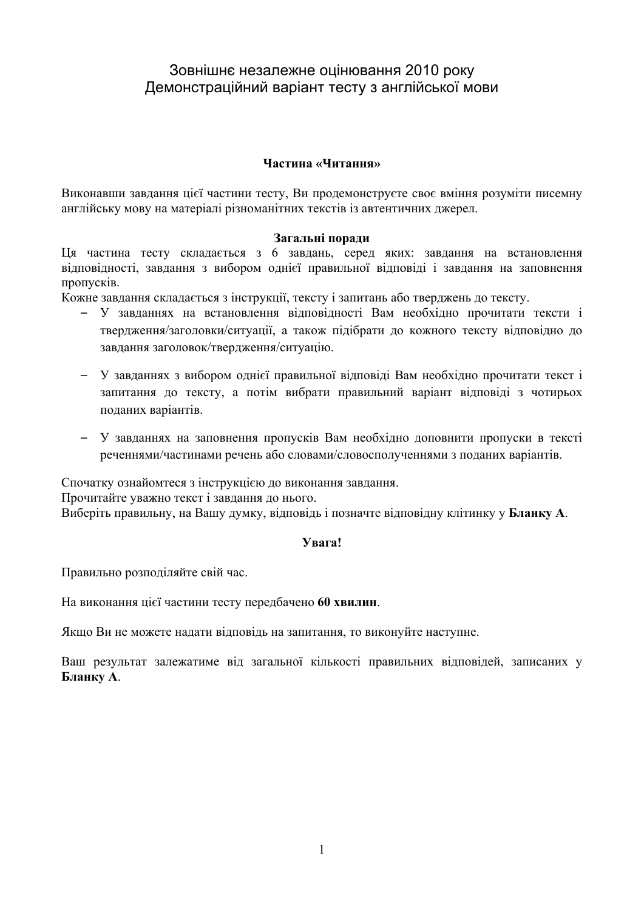# Зовнішнє незалежне оцінювання 2010 року Демонстраційний варіант тесту з англійської мови

### **Частина «Читання»**

Виконавши завдання цієї частини тесту, Ви продемонструєте своє вміння розуміти писемну англійську мову на матеріалі різноманітних текстів із автентичних джерел.

#### **Загальні поради**

Ця частина тесту складається з 6 завдань, серед яких: завдання на встановлення відповідності, завдання з вибором однієї правильної відповіді і завдання на заповнення пропусків.

Кожне завдання складається з інструкції, тексту і запитань або тверджень до тексту.

- У завданнях на встановлення відповідності Вам необхідно прочитати тексти і твердження/заголовки/ситуації, а також підібрати до кожного тексту відповідно до завдання заголовок/твердження/ситуацію.
- У завданнях з вибором однієї правильної відповіді Вам необхідно прочитати текст і запитання до тексту, а потім вибрати правильний варіант відповіді з чотирьох поданих варіантів.
- У завданнях на заповнення пропусків Вам необхідно доповнити пропуски в тексті реченнями/частинами речень або словами/словосполученнями з поданих варіантів.

Спочатку ознайомтеся з інструкцією до виконання завдання.

Прочитайте уважно текст і завдання до нього.

Виберіть правильну, на Вашу думку, відповідь і позначте відповідну клітинку у **Бланку А**.

### **Увага!**

Правильно розподіляйте свій час.

На виконання цієї частини тесту передбачено **60 хвилин**.

Якщо Ви не можете надати відповідь на запитання, то виконуйте наступне.

Ваш результат залежатиме від загальної кількості правильних відповідей, записаних у **Бланку А**.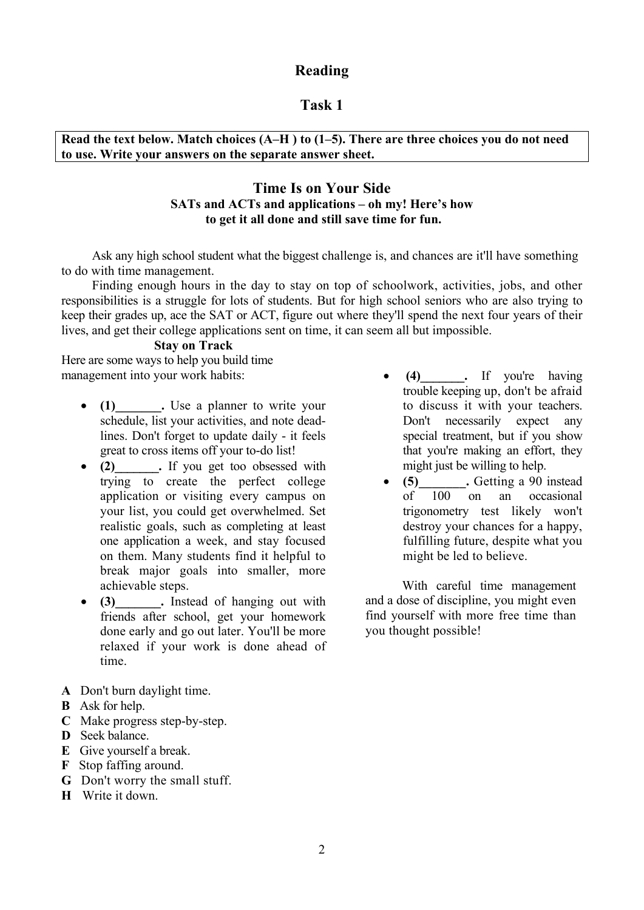# **Reading**

## **Task 1**

**Read the text below. Match choices (A–H ) to (1–5). There are three choices you do not need to use. Write your answers on the separate answer sheet.** 

## **Time Is on Your Side SATs and ACTs and applications – oh my! Here's how to get it all done and still save time for fun.**

Ask any high school student what the biggest challenge is, and chances are it'll have something to do with time management.

Finding enough hours in the day to stay on top of schoolwork, activities, jobs, and other responsibilities is a struggle for lots of students. But for high school seniors who are also trying to keep their grades up, ace the SAT or ACT, figure out where they'll spend the next four years of their lives, and get their college applications sent on time, it can seem all but impossible.

**Stay on Track** 

Here are some ways to help you build time management into your work habits:

- (1) Use a planner to write your schedule, list your activities, and note deadlines. Don't forget to update daily - it feels great to cross items off your to-do list!
- (2) If you get too obsessed with trying to create the perfect college application or visiting every campus on your list, you could get overwhelmed. Set realistic goals, such as completing at least one application a week, and stay focused on them. Many students find it helpful to break major goals into smaller, more achievable steps.
- **(3)** . Instead of hanging out with friends after school, get your homework done early and go out later. You'll be more relaxed if your work is done ahead of time.
- **A**Don't burn daylight time.
- **B** Ask for help.
- **C** Make progress step-by-step.
- **D** Seek balance.
- **E** Give yourself a break.
- **F** Stop faffing around.
- **G** Don't worry the small stuff.
- **H** Write it down
- (4) · If you're having trouble keeping up, don't be afraid to discuss it with your teachers. Don't necessarily expect any special treatment, but if you show that you're making an effort, they might just be willing to help.
- **(5)** . Getting a 90 instead of 100 on an occasional trigonometry test likely won't destroy your chances for a happy, fulfilling future, despite what you might be led to believe.

With careful time management and a dose of discipline, you might even find yourself with more free time than you thought possible!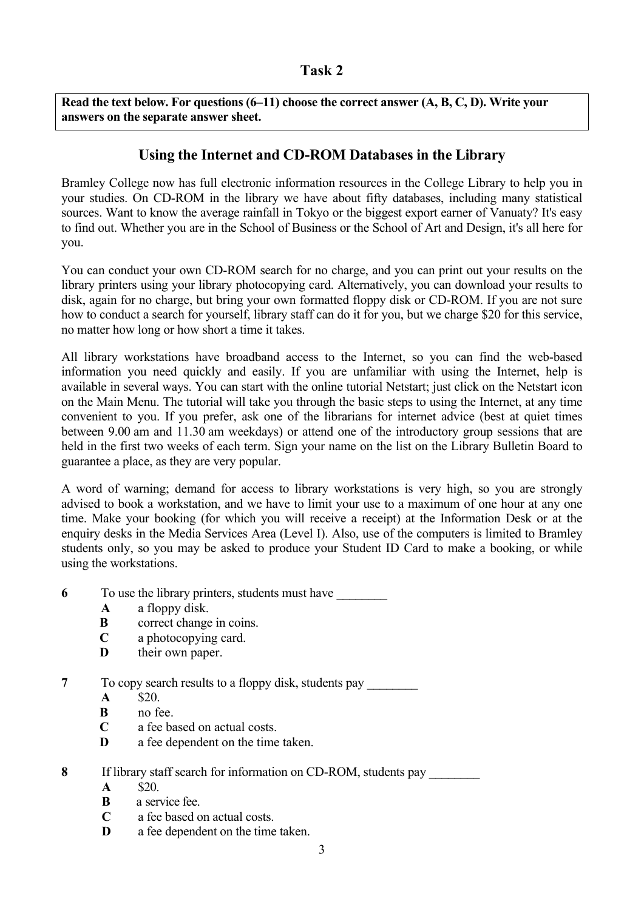**Read the text below. For questions (6–11) choose the correct answer (A, B, C, D). Write your answers on the separate answer sheet.** 

# **Using the Internet and CD-ROM Databases in the Library**

Bramley College now has full electronic information resources in the College Library to help you in your studies. On CD-ROM in the library we have about fifty databases, including many statistical sources. Want to know the average rainfall in Tokyo or the biggest export earner of Vanuaty? It's easy to find out. Whether you are in the School of Business or the School of Art and Design, it's all here for you.

You can conduct your own CD-ROM search for no charge, and you can print out your results on the library printers using your library photocopying card. Alternatively, you can download your results to disk, again for no charge, but bring your own formatted floppy disk or CD-ROM. If you are not sure how to conduct a search for yourself, library staff can do it for you, but we charge \$20 for this service, no matter how long or how short a time it takes.

All library workstations have broadband access to the Internet, so you can find the web-based information you need quickly and easily. If you are unfamiliar with using the Internet, help is available in several ways. You can start with the online tutorial Netstart; just click on the Netstart icon on the Main Menu. The tutorial will take you through the basic steps to using the Internet, at any time convenient to you. If you prefer, ask one of the librarians for internet advice (best at quiet times between 9.00 am and 11.30 am weekdays) or attend one of the introductory group sessions that are held in the first two weeks of each term. Sign your name on the list on the Library Bulletin Board to guarantee a place, as they are very popular.

A word of warning; demand for access to library workstations is very high, so you are strongly advised to book a workstation, and we have to limit your use to a maximum of one hour at any one time. Make your booking (for which you will receive a receipt) at the Information Desk or at the enquiry desks in the Media Services Area (Level I). Also, use of the computers is limited to Bramley students only, so you may be asked to produce your Student ID Card to make a booking, or while using the workstations.

- **6** To use the library printers, students must have
	- **A** a floppy disk.
	- **B** correct change in coins.
	- **C** a photocopying card.
	- **D** their own paper.

### **7** To copy search results to a floppy disk, students pay

- $A \t 820.$
- **B** no fee.
- **C** a fee based on actual costs.
- **D** a fee dependent on the time taken.
- **8** If library staff search for information on CD-ROM, students pay
	- **A** \$20.
	- **B** a service fee.
	- **C** a fee based on actual costs.
	- **D** a fee dependent on the time taken.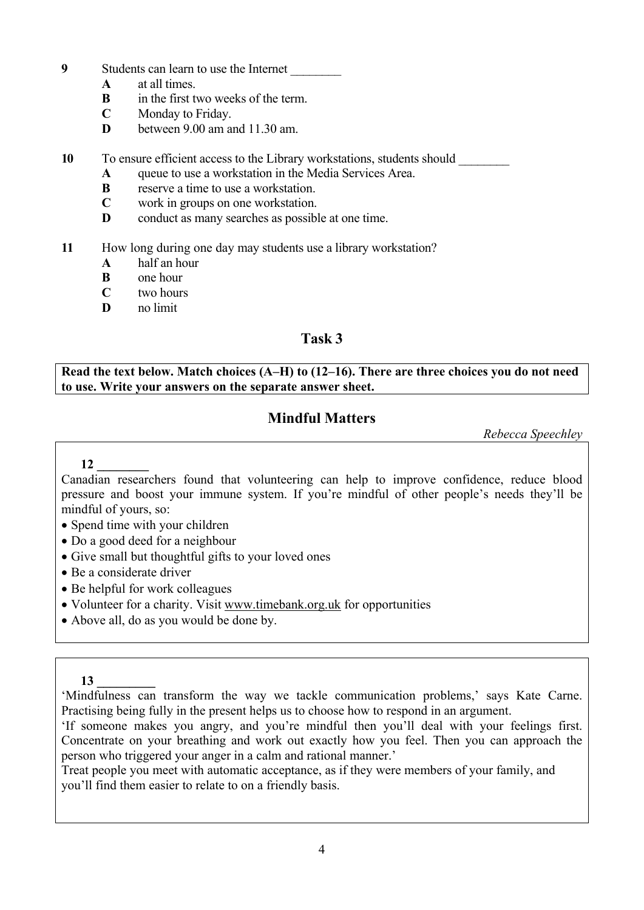- **9** Students can learn to use the Internet \_\_\_\_\_\_\_\_
	- **A** at all times.
	- **B** in the first two weeks of the term.
	- **C** Monday to Friday.
	- **D** between 9.00 am and 11.30 am.

**10** To ensure efficient access to the Library workstations, students should

- **A** queue to use a workstation in the Media Services Area.
- **B** reserve a time to use a workstation.
- **C** work in groups on one workstation.
- **D** conduct as many searches as possible at one time.
- **11** How long during one day may students use a library workstation?
	- **A** half an hour
	- **B** one hour
	- **C** two hours
	- **D** no limit

# **Task 3**

**Read the text below. Match choices (A–H) to (12–16). There are three choices you do not need to use. Write your answers on the separate answer sheet.** 

# **Mindful Matters**

*Rebecca Speechley* 

**12 \_\_\_\_\_\_\_\_** 

Canadian researchers found that volunteering can help to improve confidence, reduce blood pressure and boost your immune system. If you're mindful of other people's needs they'll be mindful of yours, so:

- Spend time with your children
- Do a good deed for a neighbour
- Give small but thoughtful gifts to your loved ones
- Be a considerate driver
- Be helpful for work colleagues
- Volunteer for a charity. Visit [www.timebank.org.uk](http://www.timebank.org.uk/) for opportunities
- Above all, do as you would be done by.

### **13 \_\_\_\_\_\_\_\_\_**

'Mindfulness can transform the way we tackle communication problems,' says Kate Carne. Practising being fully in the present helps us to choose how to respond in an argument.

'If someone makes you angry, and you're mindful then you'll deal with your feelings first. Concentrate on your breathing and work out exactly how you feel. Then you can approach the person who triggered your anger in a calm and rational manner.'

Treat people you meet with automatic acceptance, as if they were members of your family, and you'll find them easier to relate to on a friendly basis.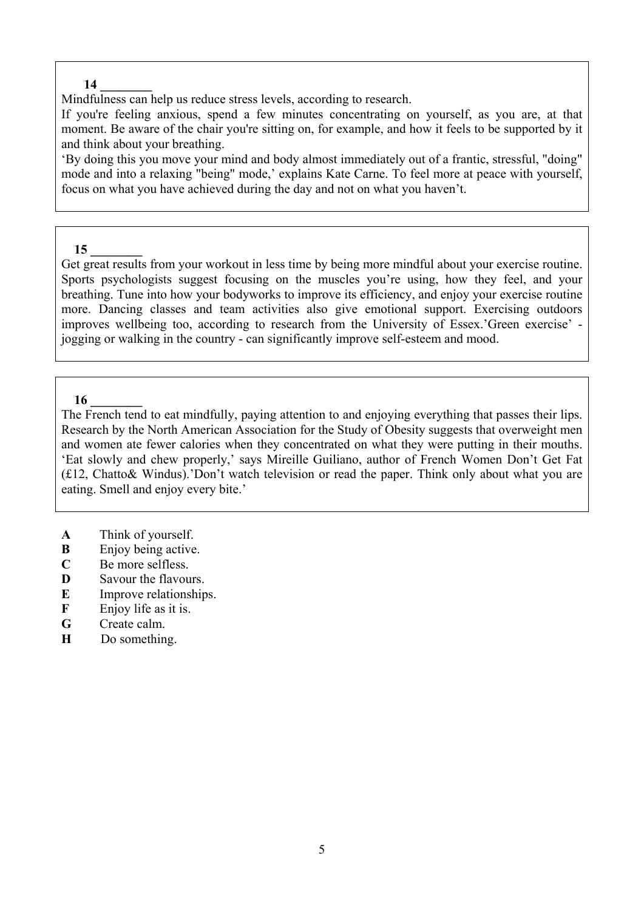#### **14 \_\_\_\_\_\_\_\_**

Mindfulness can help us reduce stress levels, according to research.

If you're feeling anxious, spend a few minutes concentrating on yourself, as you are, at that moment. Be aware of the chair you're sitting on, for example, and how it feels to be supported by it and think about your breathing.

'By doing this you move your mind and body almost immediately out of a frantic, stressful, "doing" mode and into a relaxing "being" mode,' explains Kate Carne. To feel more at peace with yourself, focus on what you have achieved during the day and not on what you haven't.

#### **15 \_\_\_\_\_\_\_\_**

Get great results from your workout in less time by being more mindful about your exercise routine. Sports psychologists suggest focusing on the muscles you're using, how they feel, and your breathing. Tune into how your bodyworks to improve its efficiency, and enjoy your exercise routine more. Dancing classes and team activities also give emotional support. Exercising outdoors improves wellbeing too, according to research from the University of Essex.'Green exercise' jogging or walking in the country - can significantly improve self-esteem and mood.

#### **16 \_\_\_\_\_\_\_\_**

The French tend to eat mindfully, paying attention to and enjoying everything that passes their lips. Research by the North American Association for the Study of Obesity suggests that overweight men and women ate fewer calories when they concentrated on what they were putting in their mouths. 'Eat slowly and chew properly,' says Mireille Guiliano, author of French Women Don't Get Fat (£12, Chatto& Windus).'Don't watch television or read the paper. Think only about what you are eating. Smell and enjoy every bite.'

- **A** Think of yourself.
- **B** Enjoy being active.
- **C** Be more selfless.
- **D** Savour the flavours.
- **E** Improve relationships.
- **F** Enjoy life as it is.
- **G** Create calm.
- **H**Do something.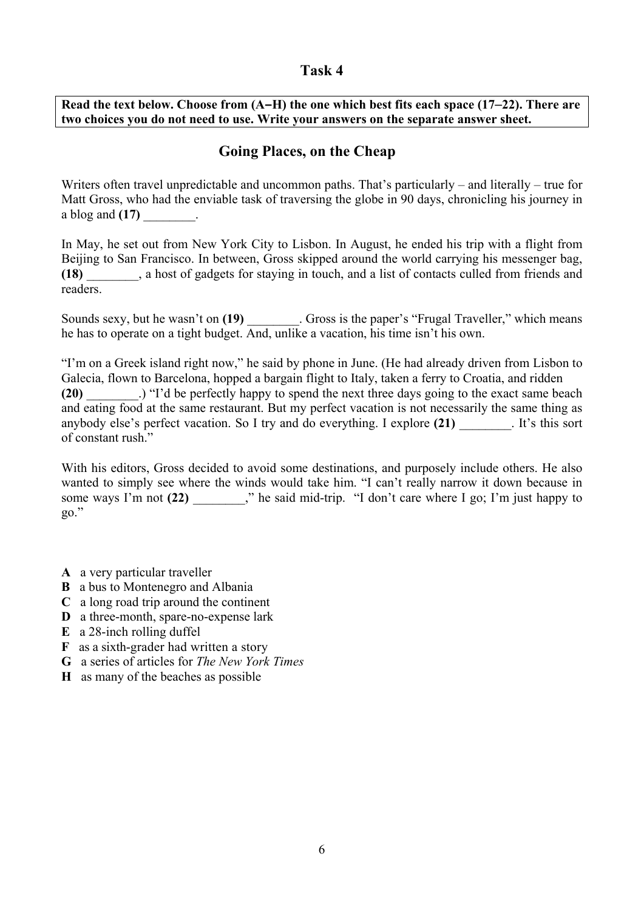# **Task 4**

**Read the text below. Choose from (A–H) the one which best fits each space (17**–**22). There are two choices you do not need to use. Write your answers on the separate answer sheet.** 

# **Going Places, on the Cheap**

Writers often travel unpredictable and uncommon paths. That's particularly – and literally – true for Matt Gross, who had the enviable task of traversing the globe in 90 days, chronicling his journey in a blog and **(17)** \_\_\_\_\_\_\_\_.

In May, he set out from New York City to Lisbon. In August, he ended his trip with a flight from Beijing to San Francisco. In between, Gross skipped around the world carrying his messenger bag, **(18)** \_\_\_\_\_\_\_\_, a host of gadgets for staying in touch, and a list of contacts culled from friends and readers.

Sounds sexy, but he wasn't on **(19)** \_\_\_\_\_\_\_\_. Gross is the paper's "Frugal Traveller," which means he has to operate on a tight budget. And, unlike a vacation, his time isn't his own.

"I'm on a Greek island right now," he said by phone in June. (He had already driven from Lisbon to Galecia, flown to Barcelona, hopped a bargain flight to Italy, taken a ferry to Croatia, and ridden **(20)** \_\_\_\_\_\_\_\_.) "I'd be perfectly happy to spend the next three days going to the exact same beach and eating food at the same restaurant. But my perfect vacation is not necessarily the same thing as anybody else's perfect vacation. So I try and do everything. I explore (21) let's this sort of constant rush."

With his editors, Gross decided to avoid some destinations, and purposely include others. He also wanted to simply see where the winds would take him. "I can't really narrow it down because in some ways I'm not (22) <sup>2</sup>, whe said mid-trip. "I don't care where I go; I'm just happy to go."

- **A**a very particular traveller
- **B** a bus to Montenegro and Albania
- **C** a long road trip around the continent
- **D** a three-month, spare-no-expense lark
- **E** a 28-inch rolling duffel
- **F** as a sixth-grader had written a story
- **G** a series of articles for *The New York Times*
- **H** as many of the beaches as possible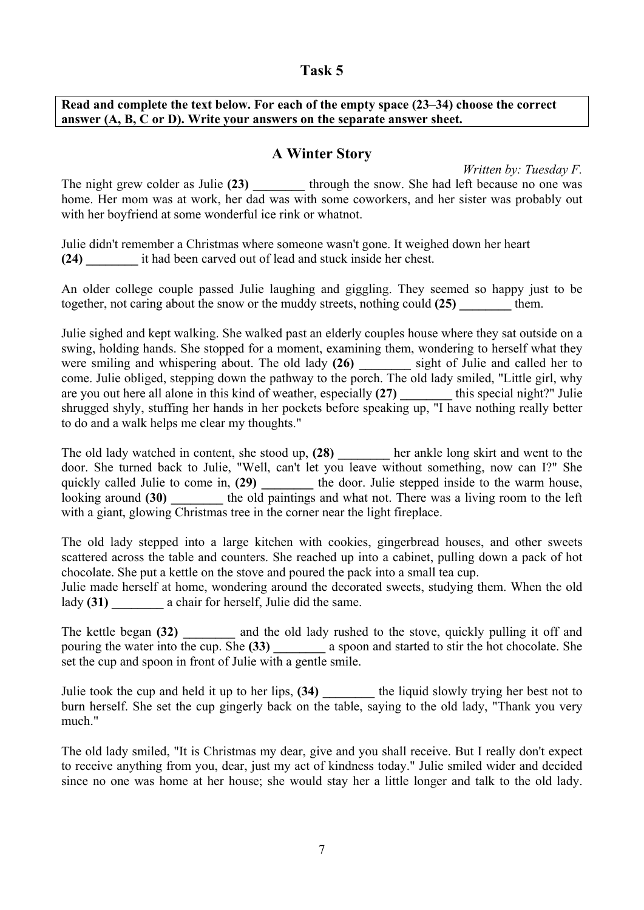# **Task 5**

**Read and complete the text below. For each of the empty space (23–34) choose the correct answer (A, B, C or D). Write your answers on the separate answer sheet.** 

## **A Winter Story**

*Written by: Tuesday F.* 

The night grew colder as Julie (23) through the snow. She had left because no one was home. Her mom was at work, her dad was with some coworkers, and her sister was probably out with her boyfriend at some wonderful ice rink or whatnot.

Julie didn't remember a Christmas where someone wasn't gone. It weighed down her heart **(24) \_\_\_\_\_\_\_\_** it had been carved out of lead and stuck inside her chest.

An older college couple passed Julie laughing and giggling. They seemed so happy just to be together, not caring about the snow or the muddy streets, nothing could (25) them.

Julie sighed and kept walking. She walked past an elderly couples house where they sat outside on a swing, holding hands. She stopped for a moment, examining them, wondering to herself what they were smiling and whispering about. The old lady (26) sight of Julie and called her to come. Julie obliged, stepping down the pathway to the porch. The old lady smiled, "Little girl, why are you out here all alone in this kind of weather, especially **(27) \_\_\_\_\_\_\_\_** this special night?" Julie shrugged shyly, stuffing her hands in her pockets before speaking up, "I have nothing really better to do and a walk helps me clear my thoughts."

The old lady watched in content, she stood up, **(28) \_\_\_\_\_\_\_\_** her ankle long skirt and went to the door. She turned back to Julie, "Well, can't let you leave without something, now can I?" She quickly called Julie to come in, (29) the door. Julie stepped inside to the warm house, looking around **(30)** the old paintings and what not. There was a living room to the left with a giant, glowing Christmas tree in the corner near the light fireplace.

The old lady stepped into a large kitchen with cookies, gingerbread houses, and other sweets scattered across the table and counters. She reached up into a cabinet, pulling down a pack of hot chocolate. She put a kettle on the stove and poured the pack into a small tea cup.

Julie made herself at home, wondering around the decorated sweets, studying them. When the old lady (31) **a** chair for herself, Julie did the same.

The kettle began (32) and the old lady rushed to the stove, quickly pulling it off and pouring the water into the cup. She (33) a spoon and started to stir the hot chocolate. She set the cup and spoon in front of Julie with a gentle smile.

Julie took the cup and held it up to her lips, (34) the liquid slowly trying her best not to burn herself. She set the cup gingerly back on the table, saying to the old lady, "Thank you very much."

The old lady smiled, "It is Christmas my dear, give and you shall receive. But I really don't expect to receive anything from you, dear, just my act of kindness today." Julie smiled wider and decided since no one was home at her house; she would stay her a little longer and talk to the old lady.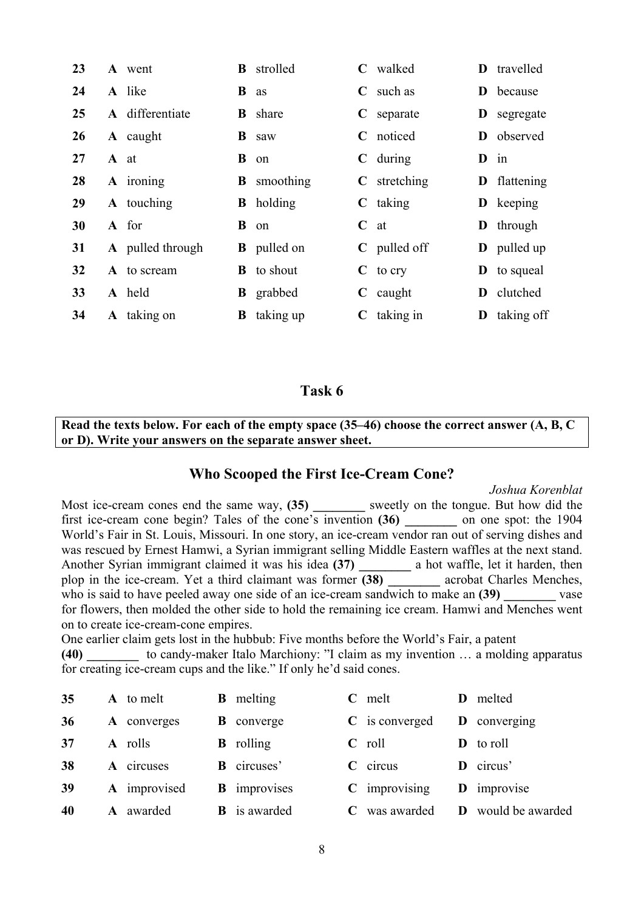|           |                                                                                                                                                              |                                                                                                                                                                                             |                                                                                                                                                                 | <b>D</b> travelled  |
|-----------|--------------------------------------------------------------------------------------------------------------------------------------------------------------|---------------------------------------------------------------------------------------------------------------------------------------------------------------------------------------------|-----------------------------------------------------------------------------------------------------------------------------------------------------------------|---------------------|
|           | B                                                                                                                                                            |                                                                                                                                                                                             |                                                                                                                                                                 | D because           |
|           |                                                                                                                                                              | C                                                                                                                                                                                           | D                                                                                                                                                               | segregate           |
|           |                                                                                                                                                              |                                                                                                                                                                                             |                                                                                                                                                                 | D observed          |
|           | B                                                                                                                                                            |                                                                                                                                                                                             | D                                                                                                                                                               | in                  |
|           |                                                                                                                                                              |                                                                                                                                                                                             |                                                                                                                                                                 | <b>D</b> flattening |
|           |                                                                                                                                                              |                                                                                                                                                                                             |                                                                                                                                                                 | D keeping           |
|           | B                                                                                                                                                            | C.                                                                                                                                                                                          |                                                                                                                                                                 | <b>D</b> through    |
|           |                                                                                                                                                              |                                                                                                                                                                                             |                                                                                                                                                                 | <b>D</b> pulled up  |
|           |                                                                                                                                                              |                                                                                                                                                                                             |                                                                                                                                                                 | <b>D</b> to squeal  |
|           |                                                                                                                                                              |                                                                                                                                                                                             | D                                                                                                                                                               | clutched            |
| ${\bf A}$ | B                                                                                                                                                            | C                                                                                                                                                                                           | D                                                                                                                                                               | taking off          |
|           | A went<br>A like<br>A differentiate<br><b>A</b> caught<br>A at<br>A ironing<br>A touching<br>A for<br>A pulled through<br>A to scream<br>A held<br>taking on | <b>B</b> strolled<br>as<br><b>B</b> share<br><b>B</b> saw<br>on<br><b>B</b> smoothing<br><b>B</b> holding<br>on<br><b>B</b> pulled on<br><b>B</b> to shout<br><b>B</b> grabbed<br>taking up | C walked<br>$C$ such as<br>separate<br>C noticed<br>$C$ during<br>$C$ stretching<br>$C$ taking<br>at<br>$C$ pulled off<br>$C$ to cry<br>$C$ caught<br>taking in |                     |

**Task 6** 

**Read the texts below. For each of the empty space (35–46) choose the correct answer (A, B, C or D). Write your answers on the separate answer sheet.** 

# **Who Scooped the First Ice-Cream Cone?**

*Joshua Korenblat*  Most ice-cream cones end the same way, (35) sweetly on the tongue. But how did the first ice-cream cone begin? Tales of the cone's invention **(36) \_\_\_\_\_\_\_\_** on one spot: the 1904 World's Fair in St. Louis, Missouri. In one story, an ice-cream vendor ran out of serving dishes and was rescued by Ernest Hamwi, a Syrian immigrant selling Middle Eastern waffles at the next stand. Another Syrian immigrant claimed it was his idea **(37) \_\_\_\_\_\_\_\_** a hot waffle, let it harden, then plop in the ice-cream. Yet a third claimant was former **(38) \_\_\_\_\_\_\_\_** acrobat Charles Menches, who is said to have peeled away one side of an ice-cream sandwich to make an (39) vase for flowers, then molded the other side to hold the remaining ice cream. Hamwi and Menches went on to create ice-cream-cone empires.

One earlier claim gets lost in the hubbub: Five months before the World's Fair, a patent **(40) \_\_\_\_\_\_\_\_** to candy-maker Italo Marchiony: "I claim as my invention … a molding apparatus for creating ice-cream cups and the like." If only he'd said cones.

| 35 |   | <b>A</b> to melt | <b>B</b> melting    |             | $C$ melt         | Ð | melted              |
|----|---|------------------|---------------------|-------------|------------------|---|---------------------|
| 36 |   | A converges      | <b>B</b> converge   |             | $C$ is converged |   | <b>D</b> converging |
| 37 |   | A rolls          | <b>B</b> rolling    |             | $C$ roll         | D | to roll             |
| 38 |   | A circuses       | <b>B</b> circuses'  |             | $C$ circus       |   | D circus'           |
| 39 |   | A improvised     | <b>B</b> improvises |             | $C$ improvising  | D | improvise           |
| 40 | A | awarded          | <b>B</b> is awarded | $\mathbf C$ | was awarded      | D | would be awarded    |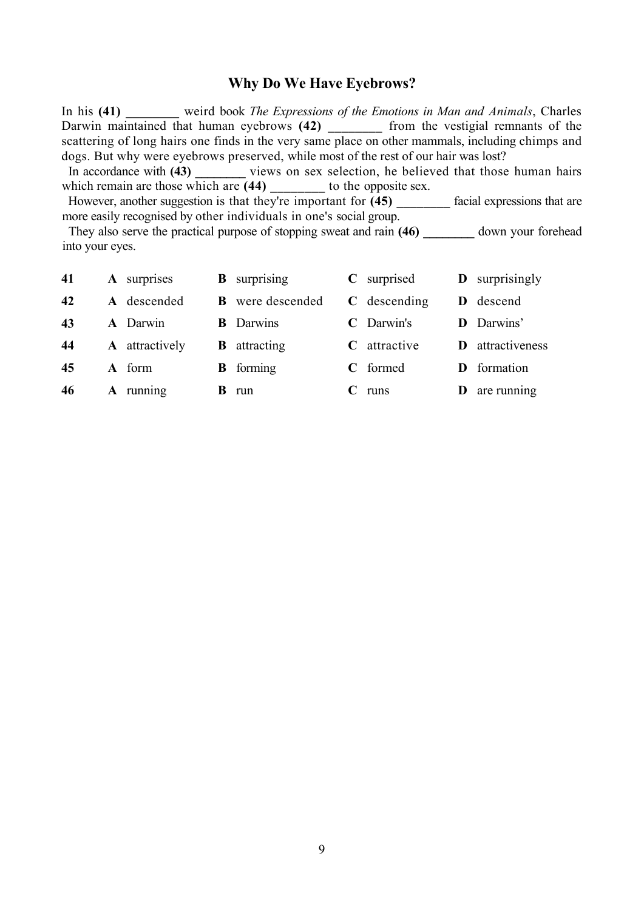### **Why Do We Have Eyebrows?**

In his (41) weird book *The Expressions of the Emotions in Man and Animals*, Charles Darwin maintained that human eyebrows (42) \_\_\_\_\_\_\_\_\_\_ from the vestigial remnants of the scattering of long hairs one finds in the very same place on other mammals, including chimps and dogs. But why were eyebrows preserved, while most of the rest of our hair was lost?

In accordance with (43) views on sex selection, he believed that those human hairs which remain are those which are (44) to the opposite sex.

However, another suggestion is that they're important for **(45) \_\_\_\_\_\_\_\_** facial expressions that are more easily recognised by other individuals in one's social group.

They also serve the practical purpose of stopping sweat and rain **(46)** down your forehead into your eyes.

| 41 |   | A surprises    |    | <b>B</b> surprising     | C surprised    |   | <b>D</b> surprisingly |
|----|---|----------------|----|-------------------------|----------------|---|-----------------------|
| 42 |   | A descended    |    | <b>B</b> were descended | $C$ descending |   | D descend             |
| 43 |   | A Darwin       | B. | Darwins                 | C Darwin's     |   | <b>D</b> Darwins'     |
| 44 |   | A attractively | B  | attracting              | C attractive   | D | attractiveness        |
| 45 |   | <b>A</b> form  |    | <b>B</b> forming        | C formed       | D | formation             |
| 46 | A | running        | B  | run                     | runs           | D | are running           |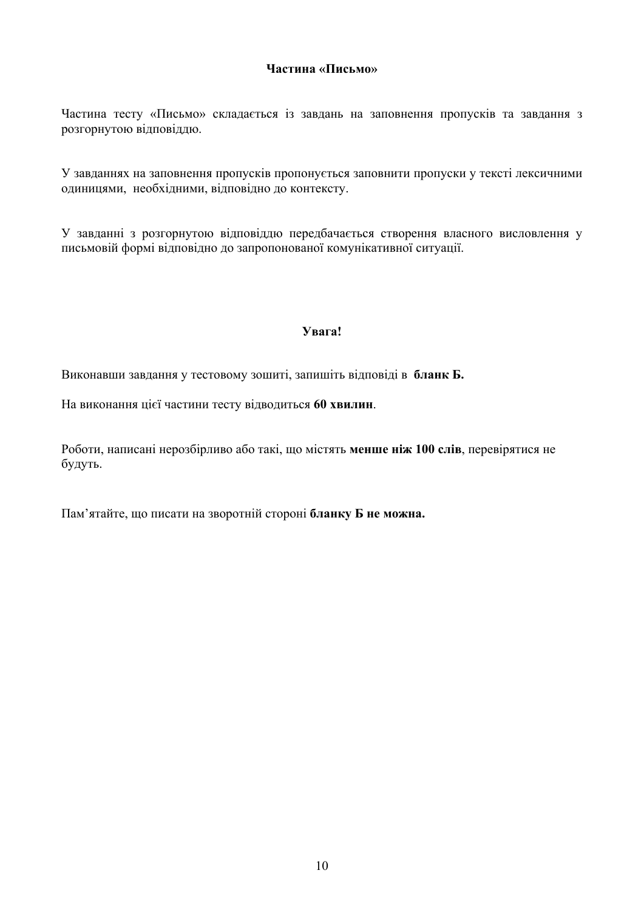#### **Частина «Письмо»**

Частина тесту «Письмо» складається із завдань на заповнення пропусків та завдання з розгорнутою відповіддю.

У завданнях на заповнення пропусків пропонується заповнити пропуски у тексті лексичними одиницями, необхідними, відповідно до контексту.

У завданні з розгорнутою відповіддю передбачається створення власного висловлення у письмовій формі відповідно до запропонованої комунікативної ситуації.

#### **Увага!**

Виконавши завдання у тестовому зошиті, запишіть відповіді в **бланк Б.** 

На виконання цієї частини тесту відводиться **60 хвилин**.

Роботи, написані нерозбірливо або такі, що містять **менше ніж 100 слів**, перевірятися не будуть.

Пам'ятайте, що писати на зворотній стороні **бланку Б не можна.**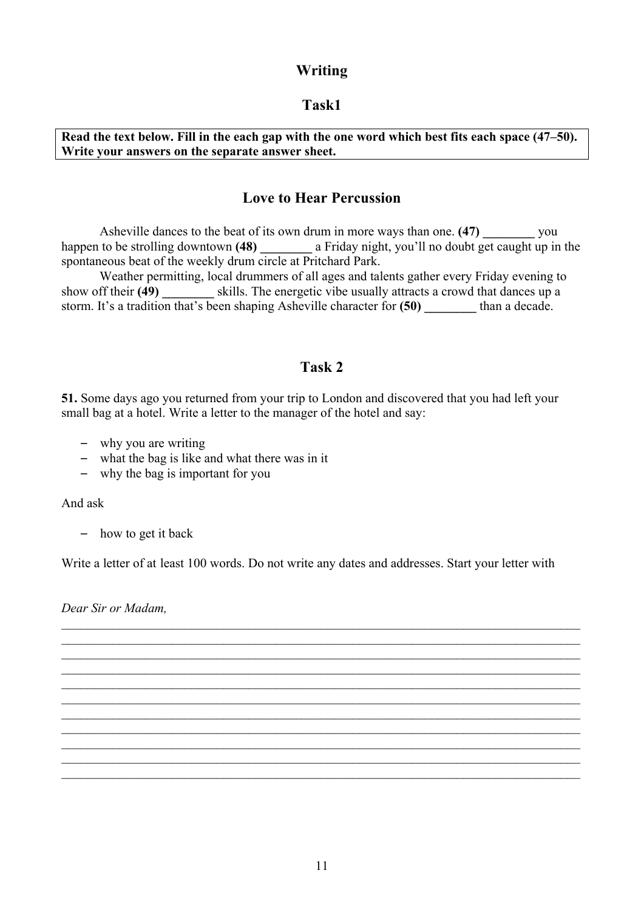## **Writing**

## **Task1**

**Read the text below. Fill in the each gap with the one word which best fits each space (47–50). Write your answers on the separate answer sheet.** 

## **Love to Hear Percussion**

Asheville dances to the beat of its own drum in more ways than one. **(47)** you happen to be strolling downtown **(48)** a Friday night, you'll no doubt get caught up in the spontaneous beat of the weekly drum circle at Pritchard Park.

Weather permitting, local drummers of all ages and talents gather every Friday evening to show off their **(49)** skills. The energetic vibe usually attracts a crowd that dances up a storm. It's a tradition that's been shaping Asheville character for **(50) \_\_\_\_\_\_\_\_** than a decade.

## **Task 2**

**51.** Some days ago you returned from your trip to London and discovered that you had left your small bag at a hotel. Write a letter to the manager of the hotel and say:

- why you are writing
- what the bag is like and what there was in it
- why the bag is important for you

And ask

– how to get it back

Write a letter of at least 100 words. Do not write any dates and addresses. Start your letter with

 $\mathcal{L}_\mathcal{L} = \mathcal{L}_\mathcal{L} = \mathcal{L}_\mathcal{L} = \mathcal{L}_\mathcal{L} = \mathcal{L}_\mathcal{L} = \mathcal{L}_\mathcal{L} = \mathcal{L}_\mathcal{L} = \mathcal{L}_\mathcal{L} = \mathcal{L}_\mathcal{L} = \mathcal{L}_\mathcal{L} = \mathcal{L}_\mathcal{L} = \mathcal{L}_\mathcal{L} = \mathcal{L}_\mathcal{L} = \mathcal{L}_\mathcal{L} = \mathcal{L}_\mathcal{L} = \mathcal{L}_\mathcal{L} = \mathcal{L}_\mathcal{L}$  $\mathcal{L}_\mathcal{L} = \mathcal{L}_\mathcal{L} = \mathcal{L}_\mathcal{L} = \mathcal{L}_\mathcal{L} = \mathcal{L}_\mathcal{L} = \mathcal{L}_\mathcal{L} = \mathcal{L}_\mathcal{L} = \mathcal{L}_\mathcal{L} = \mathcal{L}_\mathcal{L} = \mathcal{L}_\mathcal{L} = \mathcal{L}_\mathcal{L} = \mathcal{L}_\mathcal{L} = \mathcal{L}_\mathcal{L} = \mathcal{L}_\mathcal{L} = \mathcal{L}_\mathcal{L} = \mathcal{L}_\mathcal{L} = \mathcal{L}_\mathcal{L}$  $\mathcal{L}_\mathcal{L} = \mathcal{L}_\mathcal{L} = \mathcal{L}_\mathcal{L} = \mathcal{L}_\mathcal{L} = \mathcal{L}_\mathcal{L} = \mathcal{L}_\mathcal{L} = \mathcal{L}_\mathcal{L} = \mathcal{L}_\mathcal{L} = \mathcal{L}_\mathcal{L} = \mathcal{L}_\mathcal{L} = \mathcal{L}_\mathcal{L} = \mathcal{L}_\mathcal{L} = \mathcal{L}_\mathcal{L} = \mathcal{L}_\mathcal{L} = \mathcal{L}_\mathcal{L} = \mathcal{L}_\mathcal{L} = \mathcal{L}_\mathcal{L}$  $\mathcal{L}_\mathcal{L} = \{ \mathcal{L}_\mathcal{L} = \{ \mathcal{L}_\mathcal{L} = \{ \mathcal{L}_\mathcal{L} = \{ \mathcal{L}_\mathcal{L} = \{ \mathcal{L}_\mathcal{L} = \{ \mathcal{L}_\mathcal{L} = \{ \mathcal{L}_\mathcal{L} = \{ \mathcal{L}_\mathcal{L} = \{ \mathcal{L}_\mathcal{L} = \{ \mathcal{L}_\mathcal{L} = \{ \mathcal{L}_\mathcal{L} = \{ \mathcal{L}_\mathcal{L} = \{ \mathcal{L}_\mathcal{L} = \{ \mathcal{L}_\mathcal{$  $\mathcal{L}_\mathcal{L} = \{ \mathcal{L}_\mathcal{L} = \{ \mathcal{L}_\mathcal{L} = \{ \mathcal{L}_\mathcal{L} = \{ \mathcal{L}_\mathcal{L} = \{ \mathcal{L}_\mathcal{L} = \{ \mathcal{L}_\mathcal{L} = \{ \mathcal{L}_\mathcal{L} = \{ \mathcal{L}_\mathcal{L} = \{ \mathcal{L}_\mathcal{L} = \{ \mathcal{L}_\mathcal{L} = \{ \mathcal{L}_\mathcal{L} = \{ \mathcal{L}_\mathcal{L} = \{ \mathcal{L}_\mathcal{L} = \{ \mathcal{L}_\mathcal{$  $\mathcal{L}_\mathcal{L} = \mathcal{L}_\mathcal{L} = \mathcal{L}_\mathcal{L} = \mathcal{L}_\mathcal{L} = \mathcal{L}_\mathcal{L} = \mathcal{L}_\mathcal{L} = \mathcal{L}_\mathcal{L} = \mathcal{L}_\mathcal{L} = \mathcal{L}_\mathcal{L} = \mathcal{L}_\mathcal{L} = \mathcal{L}_\mathcal{L} = \mathcal{L}_\mathcal{L} = \mathcal{L}_\mathcal{L} = \mathcal{L}_\mathcal{L} = \mathcal{L}_\mathcal{L} = \mathcal{L}_\mathcal{L} = \mathcal{L}_\mathcal{L}$  $\mathcal{L}_\mathcal{L} = \mathcal{L}_\mathcal{L} = \mathcal{L}_\mathcal{L} = \mathcal{L}_\mathcal{L} = \mathcal{L}_\mathcal{L} = \mathcal{L}_\mathcal{L} = \mathcal{L}_\mathcal{L} = \mathcal{L}_\mathcal{L} = \mathcal{L}_\mathcal{L} = \mathcal{L}_\mathcal{L} = \mathcal{L}_\mathcal{L} = \mathcal{L}_\mathcal{L} = \mathcal{L}_\mathcal{L} = \mathcal{L}_\mathcal{L} = \mathcal{L}_\mathcal{L} = \mathcal{L}_\mathcal{L} = \mathcal{L}_\mathcal{L}$  $\mathcal{L}_\mathcal{L} = \mathcal{L}_\mathcal{L} = \mathcal{L}_\mathcal{L} = \mathcal{L}_\mathcal{L} = \mathcal{L}_\mathcal{L} = \mathcal{L}_\mathcal{L} = \mathcal{L}_\mathcal{L} = \mathcal{L}_\mathcal{L} = \mathcal{L}_\mathcal{L} = \mathcal{L}_\mathcal{L} = \mathcal{L}_\mathcal{L} = \mathcal{L}_\mathcal{L} = \mathcal{L}_\mathcal{L} = \mathcal{L}_\mathcal{L} = \mathcal{L}_\mathcal{L} = \mathcal{L}_\mathcal{L} = \mathcal{L}_\mathcal{L}$  $\mathcal{L}_\mathcal{L} = \mathcal{L}_\mathcal{L} = \mathcal{L}_\mathcal{L} = \mathcal{L}_\mathcal{L} = \mathcal{L}_\mathcal{L} = \mathcal{L}_\mathcal{L} = \mathcal{L}_\mathcal{L} = \mathcal{L}_\mathcal{L} = \mathcal{L}_\mathcal{L} = \mathcal{L}_\mathcal{L} = \mathcal{L}_\mathcal{L} = \mathcal{L}_\mathcal{L} = \mathcal{L}_\mathcal{L} = \mathcal{L}_\mathcal{L} = \mathcal{L}_\mathcal{L} = \mathcal{L}_\mathcal{L} = \mathcal{L}_\mathcal{L}$ 

*Dear Sir or Madam,*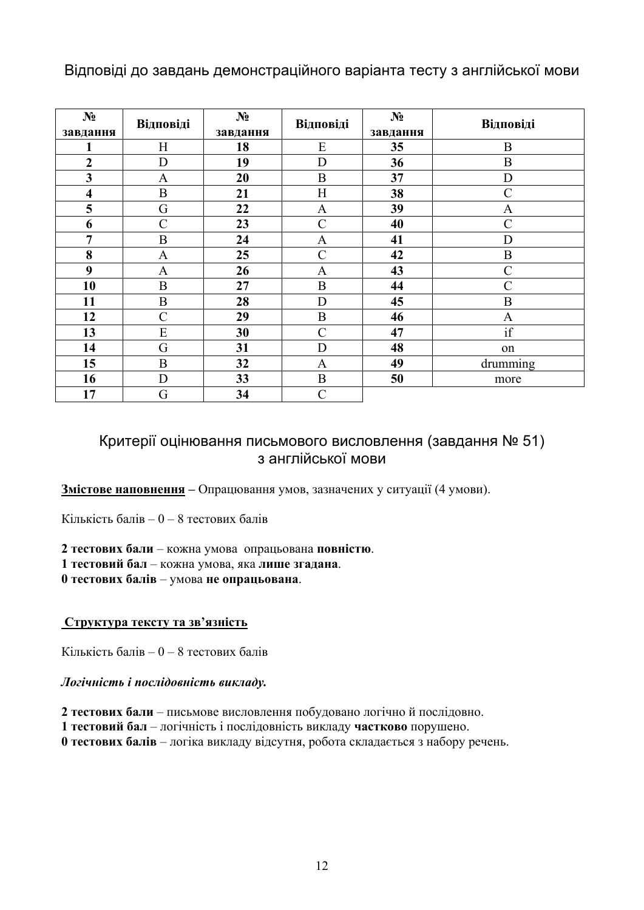Відповіді до завдань демонстраційного варіанта тесту з англійської мови

| $N_2$<br>завдання       | Відповіді      | $N_2$<br>завдання | Відповіді      | $N_2$<br>завдання | Відповіді      |  |  |
|-------------------------|----------------|-------------------|----------------|-------------------|----------------|--|--|
| $\mathbf{1}$            | H              | 18                | E              | 35                | B              |  |  |
| $\boldsymbol{2}$        | D              | 19                | D              | 36                | $\mathbf B$    |  |  |
| 3                       | A              | 20                | B              | 37                | D              |  |  |
| $\overline{\mathbf{4}}$ | B              | 21                | H              | 38                | $\mathcal{C}$  |  |  |
| 5                       | G              | 22                | $\mathbf{A}$   | 39                | A              |  |  |
| 6                       | Ć              | 23                | $\overline{C}$ | 40                | $\overline{C}$ |  |  |
| 7                       | B              | 24                | $\mathbf{A}$   | 41                | D              |  |  |
| 8                       | A              | 25                | $\overline{C}$ | 42                | $\mathbf B$    |  |  |
| 9                       | A              | 26                | $\mathbf{A}$   | 43                | $\overline{C}$ |  |  |
| 10                      | B              | 27                | B              | 44                | $\overline{C}$ |  |  |
| 11                      | B              | 28                | D              | 45                | $\mathbf B$    |  |  |
| 12                      | $\overline{C}$ | 29                | $\mathbf B$    | 46                | $\mathbf{A}$   |  |  |
| 13                      | E              | 30                | $\overline{C}$ | 47                | if             |  |  |
| 14                      | G              | 31                | D              | 48                | on             |  |  |
| 15                      | B              | 32                | $\mathbf{A}$   | 49                | drumming       |  |  |
| 16                      | D              | 33                | $\mathbf B$    | 50                | more           |  |  |
| 17                      | G              | 34                | $\overline{C}$ |                   |                |  |  |

# Критерії оцінювання письмового висловлення (завдання № 51) з англійської мови

**Змістове наповнення –** Опрацювання умов, зазначених у ситуації (4 умови).

Кількість балів – 0 – 8 тестових балів

**тестових бали** – кожна умова опрацьована **повністю**.

**тестовий бал** – кожна умова, яка **лише згадана**.

**тестових балів** – умова **не опрацьована**.

# **Структура тексту та зв'язність**

Кількість балів – 0 – 8 тестових балів

### *Логічність і послідовність викладу.*

**тестових бали** – письмове висловлення побудовано логічно й послідовно.

**тестовий бал** – логічність і послідовність викладу **частково** порушено.

**тестових балів** – логіка викладу відсутня, робота складається з набору речень.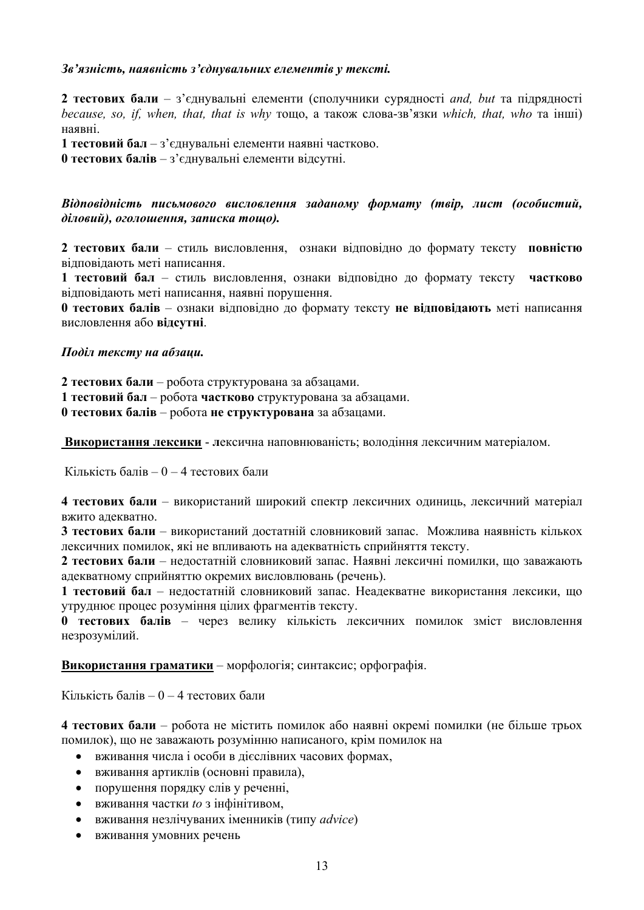#### *Зв'язність, наявність з'єднувальних елементів у тексті.*

**2 тестових бали** – з'єднувальні елементи (сполучники сурядності *and, but* та підрядності *because, so, if, when, that, that is why* тощо, а також слова-зв'язки *which, that, who* та інші) наявні.

**1 тестовий бал** – з'єднувальні елементи наявні частково.

**0 тестових балів** – з'єднувальні елементи відсутні.

*Відповідність письмового висловлення заданому формату (твір, лист (особистий, діловий), оголошення, записка тощо).* 

**2 тестових бали** – стиль висловлення, ознаки відповідно до формату тексту **повністю** відповідають меті написання.

**1 тестовий бал** – стиль висловлення, ознаки відповідно до формату тексту **частково** відповідають меті написання, наявні порушення.

**0 тестових балів** – ознаки відповідно до формату тексту **не відповідають** меті написання висловлення або **відсутні**.

#### *Поділ тексту на абзаци.*

**2 тестових бали** – робота структурована за абзацами.

**1 тестовий бал** – робота **частково** структурована за абзацами.

**0 тестових балів** – робота **не структурована** за абзацами.

**Використання лексики** - **л**ексична наповнюваність; володіння лексичним матеріалом.

Кількість балів – 0 – 4 тестових бали

**4 тестових бали** – використаний широкий спектр лексичних одиниць, лексичний матеріал вжито адекватно.

**3 тестових бали** – використаний достатній словниковий запас. Можлива наявність кількох лексичних помилок, які не впливають на адекватність сприйняття тексту.

**2 тестових бали** – недостатній словниковий запас. Наявні лексичні помилки, що заважають адекватному сприйняттю окремих висловлювань (речень).

**1 тестовий бал** – недостатній словниковий запас. Неадекватне використання лексики, що утруднює процес розуміння цілих фрагментів тексту.

**0 тестових балів** – через велику кількість лексичних помилок зміст висловлення незрозумілий.

**Використання граматики** – морфологія; синтаксис; орфографія.

Кількість балів – 0 – 4 тестових бали

**4 тестових бали** – робота не містить помилок або наявні окремі помилки (не більше трьох помилок), що не заважають розумінню написаного, крім помилок на

- вживання числа і особи в дієслівних часових формах,
- вживання артиклів (основні правила),
- порушення порядку слів у реченні,
- вживання частки *to* з інфінітивом,
- вживання незлічуваних іменників (типу *advice*)
- вживання умовних речень